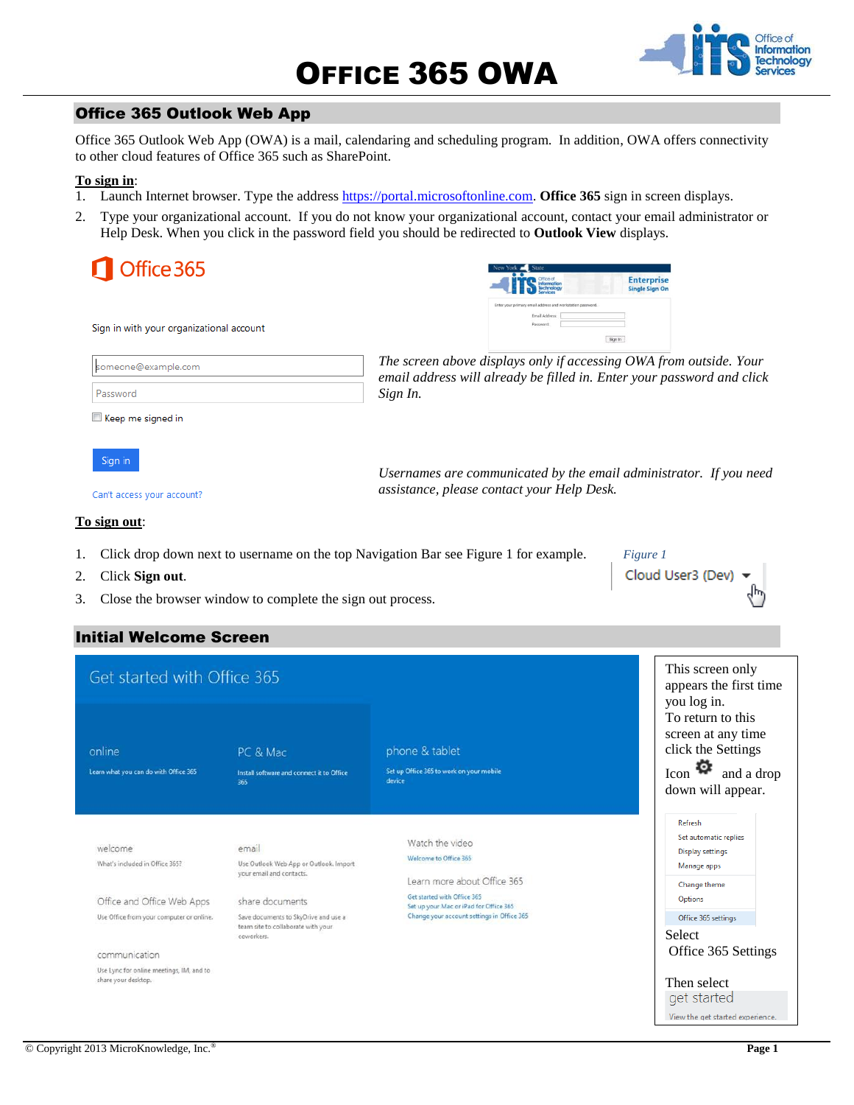

## Office 365 Outlook Web App

Office 365 Outlook Web App (OWA) is a mail, calendaring and scheduling program. In addition, OWA offers connectivity to other cloud features of Office 365 such as SharePoint.

#### **To sign in**:

- 1. Launch Internet browser. Type the addres[s https://portal.microsoftonline.com.](https://portal.microsoftonline.com/) **Office 365** sign in screen displays.
- 2. Type your organizational account. If you do not know your organizational account, contact your email administrator or Help Desk. When you click in the password field you should be redirected to **Outlook View** displays.

| Office 365                               | New York State<br><b>Enterprise</b><br>Office of<br>Information<br>Technology<br><b>Single Sign On</b> |
|------------------------------------------|--------------------------------------------------------------------------------------------------------|
| Sign in with your organizational account | Enter your primary email address and workstation password.<br>Email Address:<br>Password<br>Sign In    |
| someone@example.com                      | The screen above displays only if accessing OWA from outside. Your                                     |
| Password                                 | email address will already be filled in. Enter your password and click<br>Sign In.                     |
| Keep me signed in                        |                                                                                                        |
| Sign in                                  | Usernames are communicated by the email administrator. If you need                                     |

Can't access your account?

*assistance, please contact your Help Desk.* 

*Figure 1*

Cloud User3 (Dev

#### **To sign out**:

- 1. Click drop down next to username on the top Navigation Bar see Figure 1 for example.
- 2. Click **Sign out**.
- 3. Close the browser window to complete the sign out process.

## Initial Welcome Screen

| Get started with Office 365                                     |                                                                                          |                                                                         | This screen only<br>appears the first time<br>you log in.                                                       |
|-----------------------------------------------------------------|------------------------------------------------------------------------------------------|-------------------------------------------------------------------------|-----------------------------------------------------------------------------------------------------------------|
| online<br>Learn what you can do with Office 365                 | PC & Mac<br>Install software and connect it to Office<br>365                             | phone & tablet<br>Set up Office 365 to work on your mobile<br>device    | To return to this<br>screen at any time<br>click the Settings<br>Icon $\bullet$ and a drop<br>down will appear. |
| welcome<br>What's included in Office 365?                       | email<br>Use Outlook Web App or Outlook. Import<br>your email and contacts.              | Watch the video<br>Welcome to Office 365<br>Learn more about Office 365 | Refresh<br>Set automatic replies<br>Display settings<br>Manage apps<br>Change theme                             |
| Office and Office Web Apps                                      | share documents                                                                          | Get started with Office 365<br>Set up your Mac or iPad for Office 365   | Options                                                                                                         |
| Use Office from your computer or online.                        | Save documents to SkyDrive and use a<br>team site to collaborate with your<br>coworkers. | Change your account settings in Office 365                              | Office 365 settings<br>Select                                                                                   |
| communication                                                   |                                                                                          |                                                                         | Office 365 Settings                                                                                             |
| Use Lync for online meetings, IM, and to<br>share your desktop. |                                                                                          |                                                                         | Then select<br>get started<br>View the get started experience.                                                  |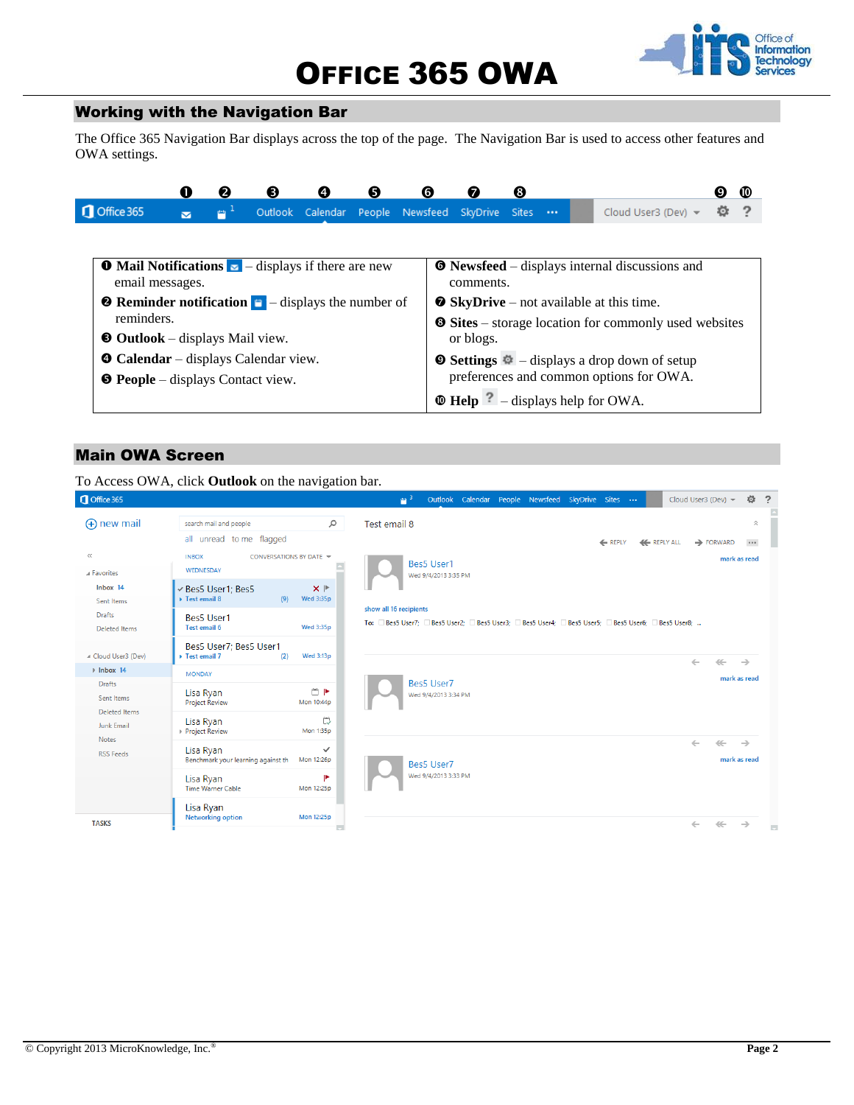# OFFICE 365 OWA



### Working with the Navigation Bar

The Office 365 Navigation Bar displays across the top of the page. The Navigation Bar is used to access other features and OWA settings.

|                                                                                         |                         | 2              | ❸                                                                                                       | Ø | 0 | G                                |                | 6 |  |  |                                                       | Ø | ത |
|-----------------------------------------------------------------------------------------|-------------------------|----------------|---------------------------------------------------------------------------------------------------------|---|---|----------------------------------|----------------|---|--|--|-------------------------------------------------------|---|---|
| Office 365                                                                              | $\overline{\mathbf{v}}$ | $\mathbb{P}^1$ |                                                                                                         |   |   | Outlook Calendar People Newsfeed | SkyDrive Sites |   |  |  | Cloud User3 (Dev) -                                   | о |   |
|                                                                                         |                         |                |                                                                                                         |   |   |                                  |                |   |  |  |                                                       |   |   |
| $\bullet$ Mail Notifications $\bullet$ - displays if there are new<br>email messages.   |                         |                |                                                                                                         |   |   |                                  | comments.      |   |  |  | <b>O</b> Newsfeed – displays internal discussions and |   |   |
| <b>2</b> Reminder notification $\blacksquare$ - displays the number of<br>reminders.    |                         |                | • SkyDrive – not available at this time.<br><b>Sites</b> – storage location for commonly used websites  |   |   |                                  |                |   |  |  |                                                       |   |   |
| $\bullet$ Outlook – displays Mail view.                                                 |                         |                |                                                                                                         |   |   |                                  | or blogs.      |   |  |  |                                                       |   |   |
| <b>O</b> Calendar – displays Calendar view.<br><b>O</b> People – displays Contact view. |                         |                | $\bullet$ Settings $\bullet$ - displays a drop down of setup<br>preferences and common options for OWA. |   |   |                                  |                |   |  |  |                                                       |   |   |
|                                                                                         |                         |                |                                                                                                         |   |   |                                  |                |   |  |  | $\bullet$ Help $?$ – displays help for OWA.           |   |   |

#### Main OWA Screen

To Access OWA, click **Outlook** on the navigation bar. Outlook Calendar People Newsfeed SkyDrive Cloud User3 (Dev)  $\star$ Ö.  $\overline{2}$ Sites ...  $\blacksquare$   $^3$ (+) new mail search mail and people  $\varphi$ Test email 8  $\sim$ all unread to me flagged REPLY **K** REPLY ALL  $\rightarrow$  FORWARD  $\cdots$  $\ll$ **INBOX** CONVERSATIONS BY DATE mark as read Bes5 User1 E WEDNESDAY A Favorites Wed 9/4/2013 3:35 PM  $lnbox 14$  $\mathbf{x}$   $\mathbf{P}$ Bes5 User1; Bes5  $(9)$  Wed 3:35p Sent Items ▶ Test email 8 show all 16 recipients Drafts Bes5 User1 To: □Bes5 User7; □Bes5 User2; □Bes5 User3; □Bes5 User4; □Bes5 User5; □Bes5 User6; □Bes5 User8; ... Wed 3:35p Deleted Items Test email 6 Bes5 User7; Bes5 User1 ▲ Cloud User3 (Dev)  $\rightarrow$  Test email 7  $(2)$ Wed 3:13p  $\leftarrow$  $\mathcal{L}(\mathcal{L})$  $\rightarrow$  $\rightarrow$  Inbox 14 **MONDAY** mark as read Drafts Bes5 User7  $\Box$  P Lisa Ryan Wed 9/4/2013 3:34 PM Sent Items Mon 10:44p Project Review Deleted Items 邑 Lisa Ryan **Junk Email** Mon  $1:35p$ ▶ Project Review **Notes**  $\mathcal{L}$  $\mathcal{L} \mathcal{L}$  $\rightarrow$ Lisa Ryan **RSS** Feeds Benchmark your learning against th Mon 12:26p mark as read Bes5 User7 Wed 9/4/2013 3:33 PM Lisa Ryan Time Warner Cable Mon 12:25p Lisa Ryan Mon 12:25p Networking option **TASKS**  $\leftarrow$  $\left\langle \psi_{\mathbf{r}}^{\prime}\right\rangle$  $\rightarrow$ i. Θ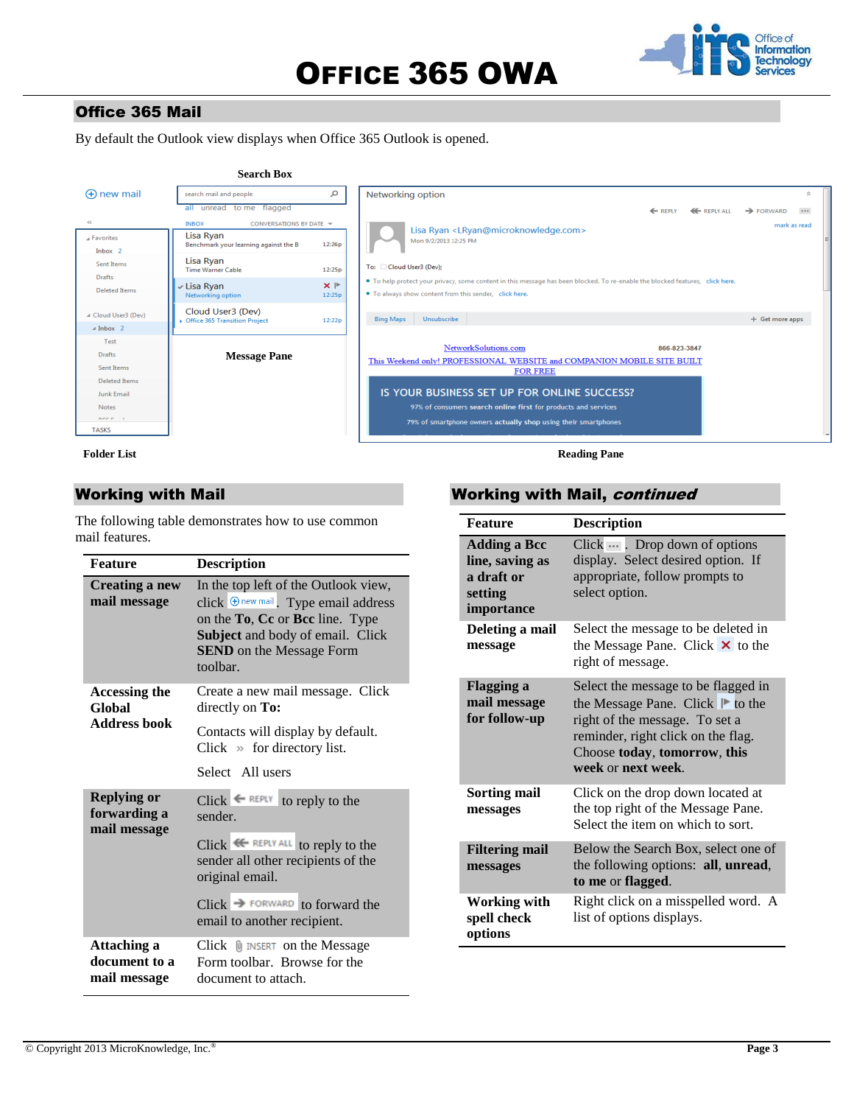# OFFICE 365 OWA



## Office 365 Mail

By default the Outlook view displays when Office 365 Outlook is opened.



**Folder List**

#### Working with Mail

The following table demonstrates how to use common mail features.

| <b>Feature</b>                                     | <b>Description</b>                                                                                                                                                                                                                               |  |  |
|----------------------------------------------------|--------------------------------------------------------------------------------------------------------------------------------------------------------------------------------------------------------------------------------------------------|--|--|
| Creating a new<br>mail message                     | In the top left of the Outlook view,<br>click $\Theta$ new mail. Type email address<br>on the To, Cc or Bcc line. Type<br>Subject and body of email. Click<br><b>SEND</b> on the Message Form<br>toolbar.                                        |  |  |
| Accessing the<br>Global                            | Create a new mail message. Click<br>directly on To:                                                                                                                                                                                              |  |  |
| <b>Address book</b>                                | Contacts will display by default.<br>Click $\gg$ for directory list.                                                                                                                                                                             |  |  |
|                                                    | Select All users                                                                                                                                                                                                                                 |  |  |
| <b>Replying or</b><br>forwarding a<br>mail message | $Click \leftarrow \text{REPLY}$ to reply to the<br>sender.<br>Click <sup>« REPLY ALL</sup> to reply to the<br>sender all other recipients of the<br>original email.<br>$Click \rightarrow$ FORWARD to forward the<br>email to another recipient. |  |  |
| Attaching a<br>document to a<br>mail message       | Click <b>II</b> INSERT on the Message<br>Form toolbar. Browse for the<br>document to attach.                                                                                                                                                     |  |  |

### Working with Mail, continued

| <b>Feature</b>                                                                | <b>Description</b>                                                                                                                                                                                    |
|-------------------------------------------------------------------------------|-------------------------------------------------------------------------------------------------------------------------------------------------------------------------------------------------------|
| <b>Adding a Bcc</b><br>line, saving as<br>a draft or<br>setting<br>importance | Click $\cdots$ . Drop down of options<br>display. Select desired option. If<br>appropriate, follow prompts to<br>select option.                                                                       |
| Deleting a mail<br>message                                                    | Select the message to be deleted in<br>the Message Pane. Click $\times$ to the<br>right of message.                                                                                                   |
| <b>Flagging a</b><br>mail message<br>for follow-up                            | Select the message to be flagged in<br>the Message Pane. Click ⊩ to the<br>right of the message. To set a<br>reminder, right click on the flag.<br>Choose today, tomorrow, this<br>week or next week. |
| Sorting mail<br>messages                                                      | Click on the drop down located at<br>the top right of the Message Pane.<br>Select the item on which to sort.                                                                                          |
| <b>Filtering mail</b><br>messages                                             | Below the Search Box, select one of<br>the following options: all, unread,<br>to me or flagged.                                                                                                       |
| <b>Working with</b><br>spell check<br>options                                 | Right click on a misspelled word. A<br>list of options displays.                                                                                                                                      |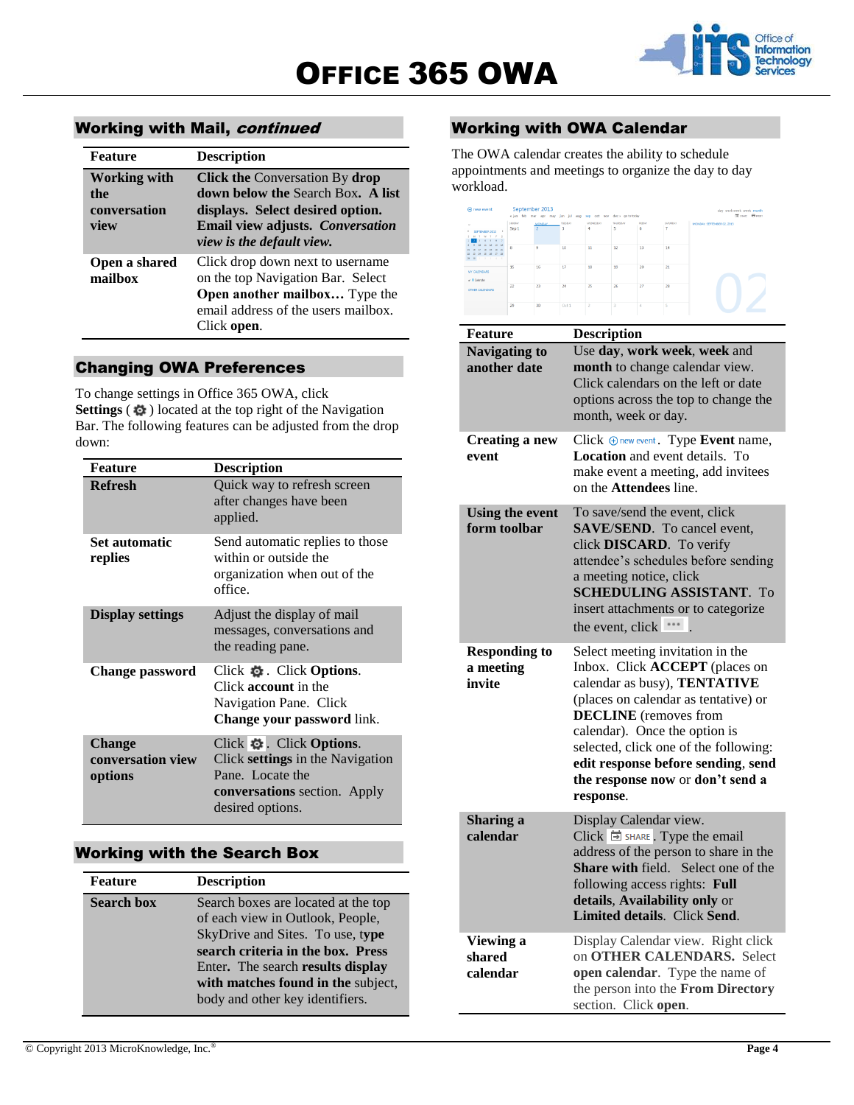

## Working with Mail, continued

| <b>Feature</b>                                     | <b>Description</b>                                                                                                                                                                     |
|----------------------------------------------------|----------------------------------------------------------------------------------------------------------------------------------------------------------------------------------------|
| <b>Working with</b><br>the<br>conversation<br>view | <b>Click the Conversation By drop</b><br><b>down below the Search Box. A list</b><br>displays. Select desired option.<br>Email view adjusts. Conversation<br>view is the default view. |
| Open a shared<br>mailbox                           | Click drop down next to username<br>on the top Navigation Bar. Select<br>Open another mailbox Type the<br>email address of the users mailbox.<br>Click open.                           |

## Changing OWA Preferences

To change settings in Office 365 OWA, click **Settings** ( $\phi$ ) located at the top right of the Navigation Bar. The following features can be adjusted from the drop down:

| <b>Feature</b>                                | <b>Description</b>                                                                                                                 |
|-----------------------------------------------|------------------------------------------------------------------------------------------------------------------------------------|
| <b>Refresh</b>                                | Quick way to refresh screen<br>after changes have been<br>applied.                                                                 |
| Set automatic<br>replies                      | Send automatic replies to those<br>within or outside the<br>organization when out of the<br>office.                                |
| <b>Display settings</b>                       | Adjust the display of mail<br>messages, conversations and<br>the reading pane.                                                     |
| <b>Change password</b>                        | Click $\ddot{\phi}$ . Click <b>Options</b> .<br>Click account in the<br>Navigation Pane. Click<br>Change your password link.       |
| <b>Change</b><br>conversation view<br>options | Click ※ Click Options.<br>Click settings in the Navigation<br>Pane. Locate the<br>conversations section. Apply<br>desired options. |

#### Working with the Search Box

| <b>Feature</b>    | <b>Description</b>                                                                                                                                                                                                                                             |
|-------------------|----------------------------------------------------------------------------------------------------------------------------------------------------------------------------------------------------------------------------------------------------------------|
| <b>Search box</b> | Search boxes are located at the top<br>of each view in Outlook, People,<br>SkyDrive and Sites. To use, type<br>search criteria in the box. Press<br>Enter. The search results display<br>with matches found in the subject,<br>body and other key identifiers. |

## Working with OWA Calendar

The OWA calendar creates the ability to schedule appointments and meetings to organize the day to day workload.



| Feature                                     | <b>Description</b>                                                                                                                                                                                                                                                                                                                                 |
|---------------------------------------------|----------------------------------------------------------------------------------------------------------------------------------------------------------------------------------------------------------------------------------------------------------------------------------------------------------------------------------------------------|
| <b>Navigating to</b><br>another date        | Use day, work week, week and<br>month to change calendar view.<br>Click calendars on the left or date<br>options across the top to change the<br>month, week or day.                                                                                                                                                                               |
| <b>Creating a new</b><br>event              | Click Onew event. Type Event name,<br>Location and event details. To<br>make event a meeting, add invitees<br>on the <b>Attendees</b> line.                                                                                                                                                                                                        |
| <b>Using the event</b><br>form toolbar      | To save/send the event, click<br><b>SAVE/SEND.</b> To cancel event,<br>click DISCARD. To verify<br>attendee's schedules before sending<br>a meeting notice, click<br><b>SCHEDULING ASSISTANT. To</b><br>insert attachments or to categorize<br>the event, click ***                                                                                |
| <b>Responding to</b><br>a meeting<br>invite | Select meeting invitation in the<br>Inbox. Click <b>ACCEPT</b> (places on<br>calendar as busy), TENTATIVE<br>(places on calendar as tentative) or<br><b>DECLINE</b> (removes from<br>calendar). Once the option is<br>selected, click one of the following:<br>edit response before sending, send<br>the response now or don't send a<br>response. |
| Sharing a<br>calendar                       | Display Calendar view.<br>$Click \nightharpoonup$ SHARE. Type the email<br>address of the person to share in the<br>Share with field. Select one of the<br>following access rights: Full<br>details, Availability only or<br>Limited details. Click Send.                                                                                          |
| Viewing a<br>shared<br>calendar             | Display Calendar view. Right click<br>on OTHER CALENDARS. Select<br>open calendar. Type the name of<br>the person into the From Directory<br>section. Click open.                                                                                                                                                                                  |